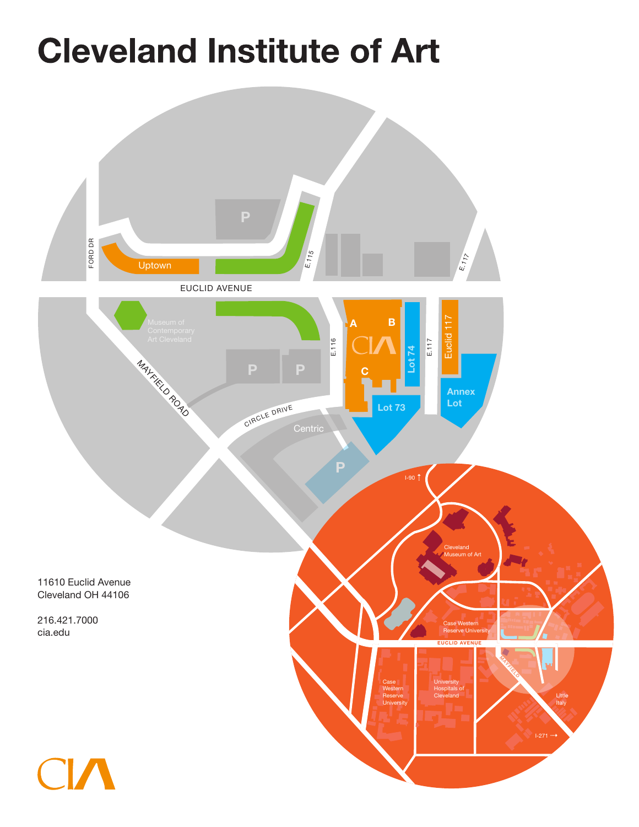# **Cleveland Institute of Art**